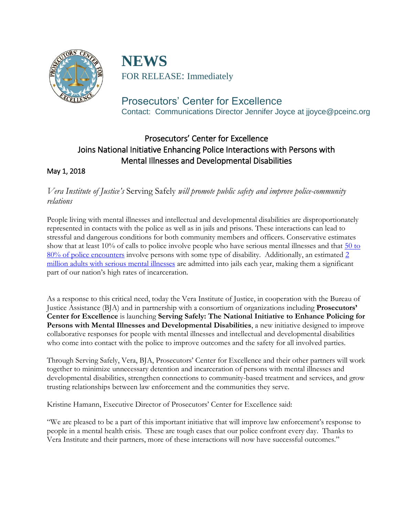

**NEWS** FOR RELEASE: Immediately

Prosecutors' Center for Excellence Contact: Communications Director Jennifer Joyce at jjoyce@pceinc.org

# Prosecutors' Center for Excellence Joins National Initiative Enhancing Police Interactions with Persons with Mental Illnesses and Developmental Disabilities

### May 1, 2018

## *Vera Institute of Justice's* Serving Safely *will promote public safety and improve police-community relations*

People living with mental illnesses and intellectual and developmental disabilities are disproportionately represented in contacts with the police as well as in jails and prisons. These interactions can lead to stressful and dangerous conditions for both community members and officers. Conservative estimates show that at least 10% of calls to police involve people who have serious mental illnesses and that [50 to](https://www.thearc.org/document.doc?id=4801)  80% of [police encounters](https://www.thearc.org/document.doc?id=4801) involve persons with some type of disability. Additionally, an estimated 2 [million adults with serious mental illnesses](https://ps.psychiatryonline.org/doi/pdf/10.1176/ps.2009.60.6.761) are admitted into jails each year, making them a significant part of our nation's high rates of incarceration.

As a response to this critical need, today the Vera Institute of Justice, in cooperation with the Bureau of Justice Assistance (BJA) and in partnership with a consortium of organizations including **Prosecutors' Center for Excellence** is launching **Serving Safely: The National Initiative to Enhance Policing for Persons with Mental Illnesses and Developmental Disabilities**, a new initiative designed to improve collaborative responses for people with mental illnesses and intellectual and developmental disabilities who come into contact with the police to improve outcomes and the safety for all involved parties.

Through Serving Safely, Vera, BJA, Prosecutors' Center for Excellence and their other partners will work together to minimize unnecessary detention and incarceration of persons with mental illnesses and developmental disabilities, strengthen connections to community-based treatment and services, and grow trusting relationships between law enforcement and the communities they serve.

Kristine Hamann, Executive Director of Prosecutors' Center for Excellence said:

"We are pleased to be a part of this important initiative that will improve law enforcement's response to people in a mental health crisis. These are tough cases that our police confront every day. Thanks to Vera Institute and their partners, more of these interactions will now have successful outcomes."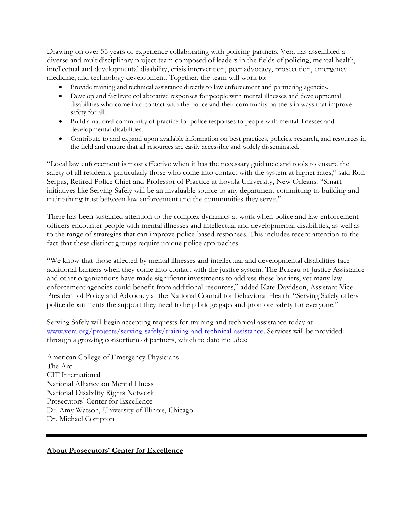Drawing on over 55 years of experience collaborating with policing partners, Vera has assembled a diverse and multidisciplinary project team composed of leaders in the fields of policing, mental health, intellectual and developmental disability, crisis intervention, peer advocacy, prosecution, emergency medicine, and technology development. Together, the team will work to:

- Provide training and technical assistance directly to law enforcement and partnering agencies.
- Develop and facilitate collaborative responses for people with mental illnesses and developmental disabilities who come into contact with the police and their community partners in ways that improve safety for all.
- Build a national community of practice for police responses to people with mental illnesses and developmental disabilities.
- Contribute to and expand upon available information on best practices, policies, research, and resources in the field and ensure that all resources are easily accessible and widely disseminated.

"Local law enforcement is most effective when it has the necessary guidance and tools to ensure the safety of all residents, particularly those who come into contact with the system at higher rates," said Ron Serpas, Retired Police Chief and Professor of Practice at Loyola University, New Orleans. "Smart initiatives like Serving Safely will be an invaluable source to any department committing to building and maintaining trust between law enforcement and the communities they serve."

There has been sustained attention to the complex dynamics at work when police and law enforcement officers encounter people with mental illnesses and intellectual and developmental disabilities, as well as to the range of strategies that can improve police-based responses. This includes recent attention to the fact that these distinct groups require unique police approaches.

"We know that those affected by mental illnesses and intellectual and developmental disabilities face additional barriers when they come into contact with the justice system. The Bureau of Justice Assistance and other organizations have made significant investments to address these barriers, yet many law enforcement agencies could benefit from additional resources," added Kate Davidson, Assistant Vice President of Policy and Advocacy at the National Council for Behavioral Health. "Serving Safely offers police departments the support they need to help bridge gaps and promote safety for everyone."

Serving Safely will begin accepting requests for training and technical assistance today at [www.vera.org/projects/serving-safely/training-and-technical-assistance.](http://www.vera.org/projects/serving-safely/training-and-technical-assistance) Services will be provided through a growing consortium of partners, which to date includes:

American College of Emergency Physicians The Arc CIT International National Alliance on Mental Illness National Disability Rights Network Prosecutors' Center for Excellence Dr. Amy Watson, University of Illinois, Chicago Dr. Michael Compton

#### **About Prosecutors' Center for Excellence**